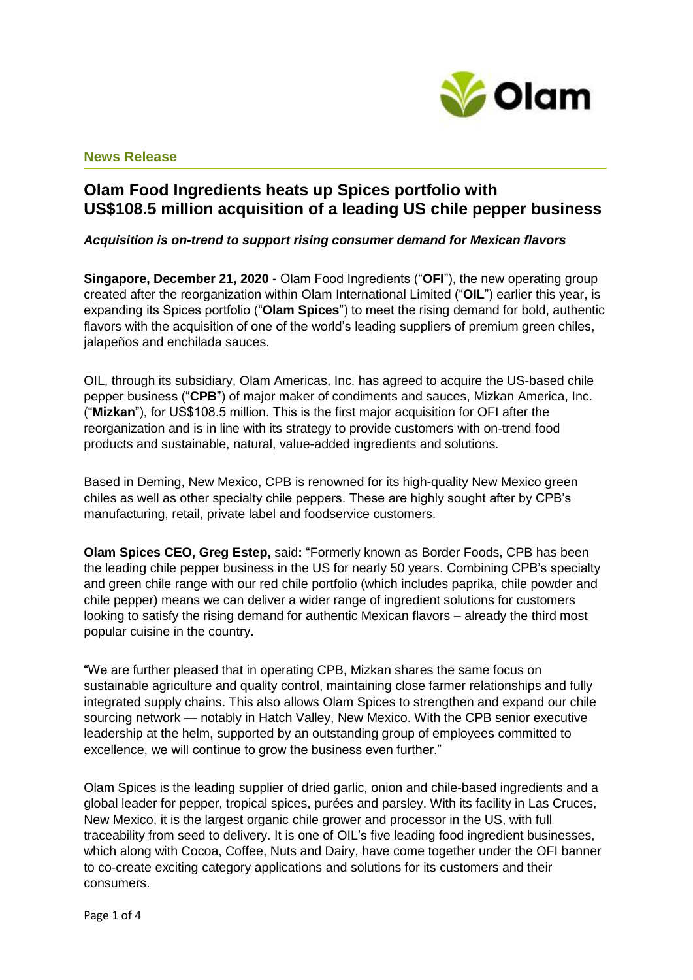

## **News Release**

# **Olam Food Ingredients heats up Spices portfolio with US\$108.5 million acquisition of a leading US chile pepper business**

#### *Acquisition is on-trend to support rising consumer demand for Mexican flavors*

**Singapore, December 21, 2020 -** Olam Food Ingredients ("**OFI**"), the new operating group created after the reorganization within Olam International Limited ("**OIL**") earlier this year, is expanding its Spices portfolio ("**Olam Spices**") to meet the rising demand for bold, authentic flavors with the acquisition of one of the world's leading suppliers of premium green chiles, jalapeños and enchilada sauces.

OIL, through its subsidiary, Olam Americas, Inc. has agreed to acquire the US-based chile pepper business ("**CPB**") of major maker of condiments and sauces, Mizkan America, Inc. ("**Mizkan**"), for US\$108.5 million. This is the first major acquisition for OFI after the reorganization and is in line with its strategy to provide customers with on-trend food products and sustainable, natural, value-added ingredients and solutions.

Based in Deming, New Mexico, CPB is renowned for its high-quality New Mexico green chiles as well as other specialty chile peppers. These are highly sought after by CPB's manufacturing, retail, private label and foodservice customers.

**Olam Spices CEO, Greg Estep,** said**:** "Formerly known as Border Foods, CPB has been the leading chile pepper business in the US for nearly 50 years. Combining CPB's specialty and green chile range with our red chile portfolio (which includes paprika, chile powder and chile pepper) means we can deliver a wider range of ingredient solutions for customers looking to satisfy the rising demand for authentic Mexican flavors – already the third most popular cuisine in the country.

"We are further pleased that in operating CPB, Mizkan shares the same focus on sustainable agriculture and quality control, maintaining close farmer relationships and fully integrated supply chains. This also allows Olam Spices to strengthen and expand our chile sourcing network — notably in Hatch Valley, New Mexico. With the CPB senior executive leadership at the helm, supported by an outstanding group of employees committed to excellence, we will continue to grow the business even further."

Olam Spices is the leading supplier of dried garlic, onion and chile-based ingredients and a global leader for pepper, tropical spices, purées and parsley. With its facility in Las Cruces, New Mexico, it is the largest organic chile grower and processor in the US, with full traceability from seed to delivery. It is one of OIL's five leading food ingredient businesses, which along with Cocoa, Coffee, Nuts and Dairy, have come together under the OFI banner to co-create exciting category applications and solutions for its customers and their consumers.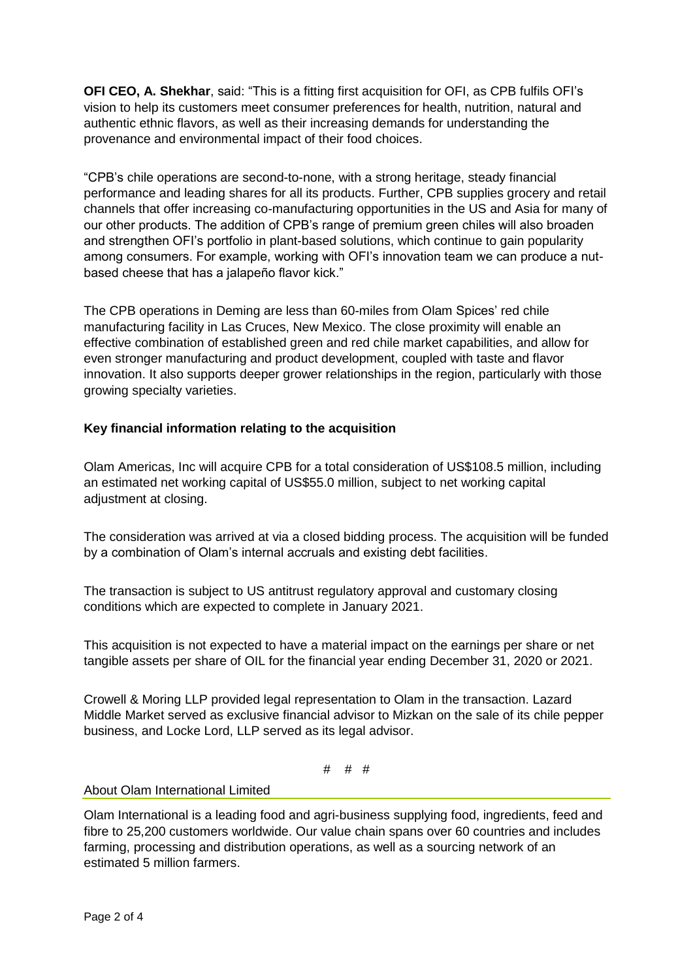**OFI CEO, A. Shekhar**, said: "This is a fitting first acquisition for OFI, as CPB fulfils OFI's vision to help its customers meet consumer preferences for health, nutrition, natural and authentic ethnic flavors, as well as their increasing demands for understanding the provenance and environmental impact of their food choices.

"CPB's chile operations are second-to-none, with a strong heritage, steady financial performance and leading shares for all its products. Further, CPB supplies grocery and retail channels that offer increasing co-manufacturing opportunities in the US and Asia for many of our other products. The addition of CPB's range of premium green chiles will also broaden and strengthen OFI's portfolio in plant-based solutions, which continue to gain popularity among consumers. For example, working with OFI's innovation team we can produce a nutbased cheese that has a jalapeño flavor kick."

The CPB operations in Deming are less than 60-miles from Olam Spices' red chile manufacturing facility in Las Cruces, New Mexico. The close proximity will enable an effective combination of established green and red chile market capabilities, and allow for even stronger manufacturing and product development, coupled with taste and flavor innovation. It also supports deeper grower relationships in the region, particularly with those growing specialty varieties.

# **Key financial information relating to the acquisition**

Olam Americas, Inc will acquire CPB for a total consideration of US\$108.5 million, including an estimated net working capital of US\$55.0 million, subject to net working capital adjustment at closing.

The consideration was arrived at via a closed bidding process. The acquisition will be funded by a combination of Olam's internal accruals and existing debt facilities.

The transaction is subject to US antitrust regulatory approval and customary closing conditions which are expected to complete in January 2021.

This acquisition is not expected to have a material impact on the earnings per share or net tangible assets per share of OIL for the financial year ending December 31, 2020 or 2021.

Crowell & Moring LLP provided legal representation to Olam in the transaction. Lazard Middle Market served as exclusive financial advisor to Mizkan on the sale of its chile pepper business, and Locke Lord, LLP served as its legal advisor.

# # #

#### About Olam International Limited

Olam International is a leading food and agri-business supplying food, ingredients, feed and fibre to 25,200 customers worldwide. Our value chain spans over 60 countries and includes farming, processing and distribution operations, as well as a sourcing network of an estimated 5 million farmers.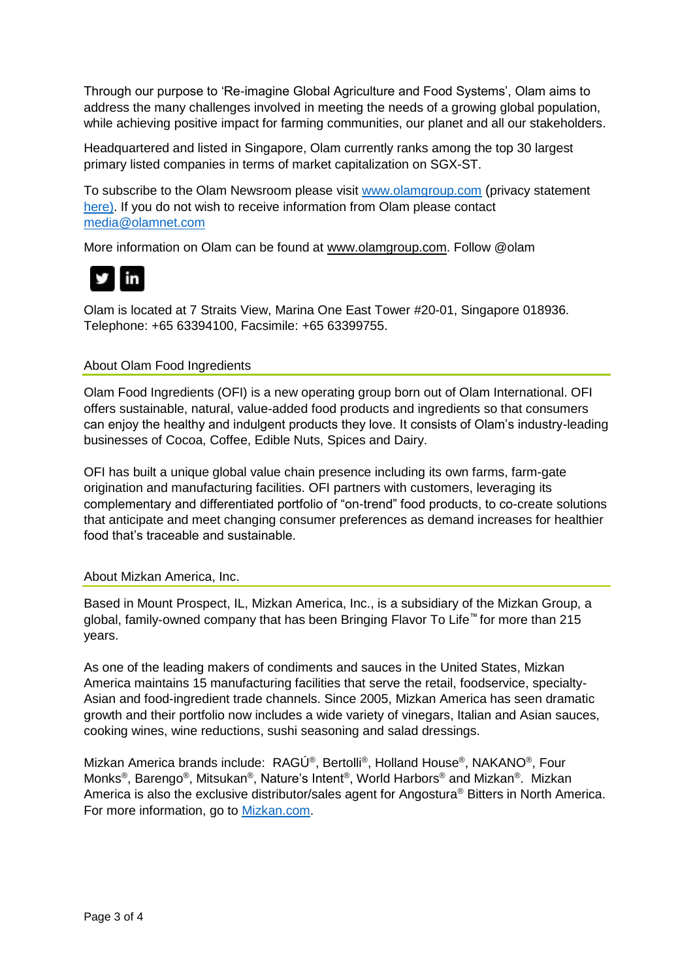Through our purpose to 'Re-imagine Global Agriculture and Food Systems', Olam aims to address the many challenges involved in meeting the needs of a growing global population, while achieving positive impact for farming communities, our planet and all our stakeholders.

Headquartered and listed in Singapore, Olam currently ranks among the top 30 largest primary listed companies in terms of market capitalization on SGX-ST.

To subscribe to the Olam Newsroom please visit [www.olamgroup.com](http://www.olamgroup.com/) (privacy statement [here\)](https://www.olamgroup.com/privacy.html). If you do not wish to receive information from Olam please contact [media@olamnet.com](mailto:media@olamnet.com)

More information on Olam can be found at [www.olamgroup.com.](http://www.olamgroup.com/) Follow @olam



Olam is located at 7 Straits View, Marina One East Tower #20-01, Singapore 018936. Telephone: +65 63394100, Facsimile: +65 63399755.

# About Olam Food Ingredients

Olam Food Ingredients (OFI) is a new operating group born out of Olam International. OFI offers sustainable, natural, value-added food products and ingredients so that consumers can enjoy the healthy and indulgent products they love. It consists of Olam's industry-leading businesses of Cocoa, Coffee, Edible Nuts, Spices and Dairy.

OFI has built a unique global value chain presence including its own farms, farm-gate origination and manufacturing facilities. OFI partners with customers, leveraging its complementary and differentiated portfolio of "on-trend" food products, to co-create solutions that anticipate and meet changing consumer preferences as demand increases for healthier food that's traceable and sustainable.

## About Mizkan America, Inc.

Based in Mount Prospect, IL, Mizkan America, Inc., is a subsidiary of the Mizkan Group, a global, family-owned company that has been Bringing Flavor To Life™ for more than 215 years.

As one of the leading makers of condiments and sauces in the United States, Mizkan America maintains 15 manufacturing facilities that serve the retail, foodservice, specialty-Asian and food-ingredient trade channels. Since 2005, Mizkan America has seen dramatic growth and their portfolio now includes a wide variety of vinegars, Italian and Asian sauces, cooking wines, wine reductions, sushi seasoning and salad dressings.

Mizkan America brands include: RAGÚ®, Bertolli®, Holland House®, NAKANO®, Four Monks<sup>®</sup>, Barengo®, Mitsukan®, Nature's Intent®, World Harbors® and Mizkan®. Mizkan America is also the exclusive distributor/sales agent for Angostura® Bitters in North America. For more information, go to [Mizkan.com.](http://mizkan.com/)